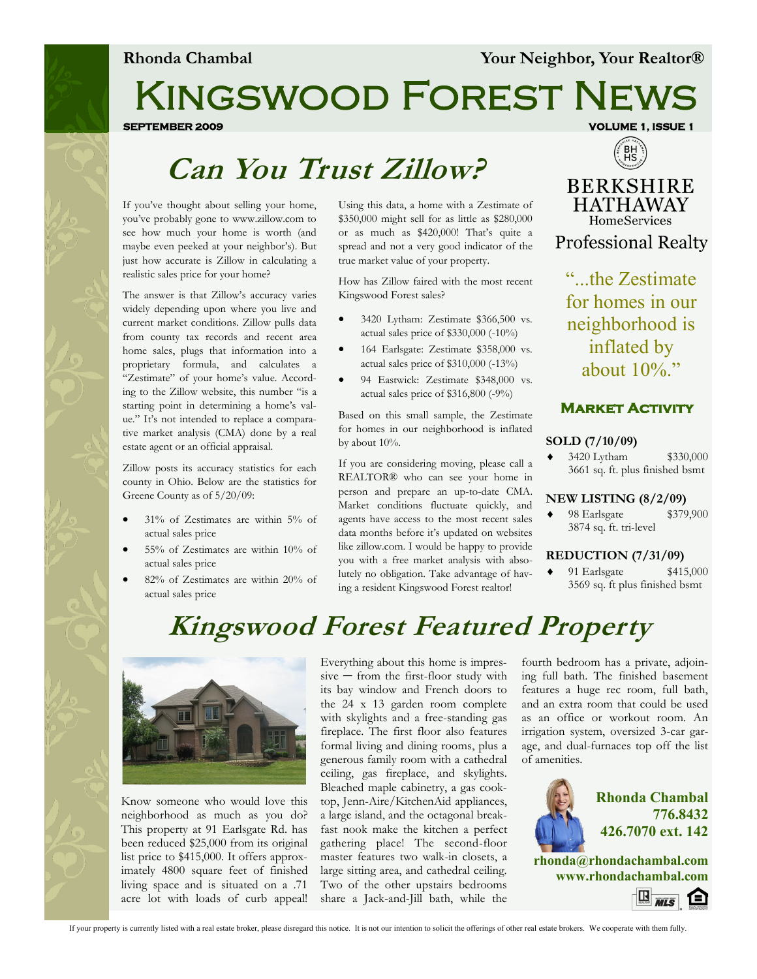# Kingswood Forest News

**SEPTEMBER 2009 VOLUME 1, ISSUE 1** 

# **Can You Trust Zillow?**

If you've thought about selling your home, you've probably gone to www.zillow.com to see how much your home is worth (and maybe even peeked at your neighbor's). But just how accurate is Zillow in calculating a realistic sales price for your home?

The answer is that Zillow's accuracy varies widely depending upon where you live and current market conditions. Zillow pulls data from county tax records and recent area home sales, plugs that information into a proprietary formula, and calculates a "Zestimate" of your home's value. According to the Zillow website, this number "is a starting point in determining a home's value." It's not intended to replace a comparative market analysis (CMA) done by a real estate agent or an official appraisal.

Zillow posts its accuracy statistics for each county in Ohio. Below are the statistics for Greene County as of 5/20/09:

- 31% of Zestimates are within 5% of actual sales price
- 55% of Zestimates are within 10% of actual sales price
- 82% of Zestimates are within 20% of actual sales price

Using this data, a home with a Zestimate of \$350,000 might sell for as little as \$280,000 or as much as \$420,000! That's quite a spread and not a very good indicator of the true market value of your property.

How has Zillow faired with the most recent Kingswood Forest sales?

- 3420 Lytham: Zestimate \$366,500 vs. actual sales price of \$330,000 (-10%)
- 164 Earlsgate: Zestimate \$358,000 vs. actual sales price of \$310,000 (-13%)
- 94 Eastwick: Zestimate \$348,000 vs. actual sales price of \$316,800 (-9%)

Based on this small sample, the Zestimate for homes in our neighborhood is inflated by about 10%.

If you are considering moving, please call a REALTOR® who can see your home in person and prepare an up-to-date CMA. Market conditions fluctuate quickly, and agents have access to the most recent sales data months before it's updated on websites like zillow.com. I would be happy to provide you with a free market analysis with absolutely no obligation. Take advantage of having a resident Kingswood Forest realtor!



**BERKSHIRE HATHAWAY HomeServices Professional Realty** 

"...the Zestimate for homes in our neighborhood is inflated by about  $10\%$ ."

#### **Market Activity**

#### **SOLD (7/10/09)**

 3420 Lytham \$330,000 3661 sq. ft. plus finished bsmt

#### **NEW LISTING (8/2/09)**

 98 Earlsgate \$379,900 3874 sq. ft. tri-level

#### **REDUCTION (7/31/09)**

 91 Earlsgate \$415,000 3569 sq. ft plus finished bsmt

# **Kingswood Forest Featured Property**



Know someone who would love this neighborhood as much as you do? This property at 91 Earlsgate Rd. has been reduced \$25,000 from its original list price to \$415,000. It offers approximately 4800 square feet of finished living space and is situated on a .71 acre lot with loads of curb appeal!

Everything about this home is impres $sive$  – from the first-floor study with its bay window and French doors to the 24 x 13 garden room complete with skylights and a free-standing gas fireplace. The first floor also features formal living and dining rooms, plus a generous family room with a cathedral ceiling, gas fireplace, and skylights. Bleached maple cabinetry, a gas cooktop, Jenn-Aire/KitchenAid appliances, a large island, and the octagonal breakfast nook make the kitchen a perfect gathering place! The second-floor master features two walk-in closets, a large sitting area, and cathedral ceiling. Two of the other upstairs bedrooms share a Jack-and-Jill bath, while the

fourth bedroom has a private, adjoining full bath. The finished basement features a huge rec room, full bath, and an extra room that could be used as an office or workout room. An irrigation system, oversized 3-car garage, and dual-furnaces top off the list of amenities.



**Rhonda Chambal 776.8432 426.7070 ext. 142**

**rhonda@rhondachambal.com www.rhondachambal.com**



If your property is currently listed with a real estate broker, please disregard this notice. It is not our intention to solicit the offerings of other real estate brokers. We cooperate with them fully.